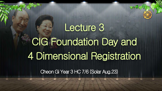Cheon Gi Year 3 HC 7/6 (Solar Aug.23)

# Lecture 3 CIG Foundation Day and 4 Dimensional Registration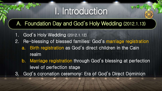## I. Introduction

## A. Foundation Day and God's Holy Wedding (2012.1.13)

- 1. God's Holy Wedding (2012.1.12)
- 2. Re-blessing of blessed families: God's marriage registration
	- a. Birth registration as God's direct children in the Cain realm
- b. Marriage registration through God's blessing at perfection level of perfection stage 3. God's coronation ceremony: Era of God's Direct Dominion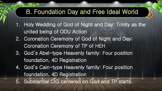## B. Foundation Day and Free Ideal World

- 1. Holy Wedding of God of Night and Day: Trinity as the united being of ODU Action
- 2. Coronation Ceremony of God of Night and Day: Coronation Ceremony of TP of HEH
- 3. God's Abel-type Heavenly family: Four position foundation, 4D Registration
- 4. God's Cain-type Heavenly family: Four position foundation, 4D Registration 5. Substantial CIG centered on God and TP starts.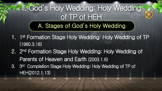- 1. 1<sup>st</sup> Formation Stage Holy Wedding: Holy Wedding of TP (1960.3.16)
- 2. 2<sup>nd</sup> Formation Stage Holy Wedding: Holy Wedding of Parents of Heaven and Earth (2003.1.6) 3. 3 3<sup>rd</sup> Completion Stage Holy Wedding: Holy Wedding of TP of HEH(2012.1.13)

## II. God's Holy Wedding: Holy Wedding of TP of HEH A. Stages of God's Holy Wedding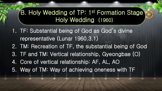1. TF: Substantial being of God as God's divine representative (Lunar 1960.3.1) 2. TM: Recreation of TF, the substantial being of God 3. TF and TM: Vertical relationship, Gyeongbae (O) 4. Core of vertical relationship: AF, AL, AO 5. Way of TM: Way of achieving oneness with TF

## B. Holy Wedding of TP: 1<sup>st</sup> Formation Stage Holy Wedding (1960)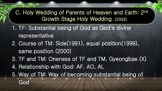- 1. TF: Substantial being of God as God's divine representative 2. Course of TM: Side(1991), equal position(1999), same position (2000)
- 3. TF and TM: Oneness of TF and TM, Gyeongbae (X)
- 4. Relationship with God: AF, AO, AL 5. Way of TM: Way of becoming substantial being of

C. Holy Wedding of Parents of Heaven and Earth: 2nd Growth Stage Holy Wedding (2003)

God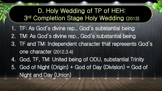1. TF: As God's divine rep., God's substantial being 2. TM: As God's divine rep., God's substantial being 3. TF and TM: Independent character that represents God's one character (2012.3.4) 4. God, TF, TM: United being of ODU, substantial Trinity 5. God of Night (Origin) + God of Day (Division) = God of Night and Day (Union) D. Holy Wedding of TP of HEH: 3 rd Completion Stage Holy Wedding (2013)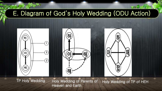## E. Diagram of God's Holy Wedding (ODU Action)





TP Holy Wedding Holy Wedding of Parents of Holy Wedding of TP of HEH Heaven and Earth

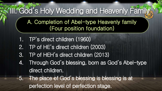1. TP's direct children (1960) 2. TP of HE's direct children (2003) 3. TP of HEH's direct children (2013) 4. Through God's blessing, born as God's Abel-type direct children. 5. The place of God's blessing is blessing is at perfection level of perfection stage.

# III. God's Holy Wedding and Heavenly Family.

 A. Completion of Abel-type Heavenly family (Four position foundation)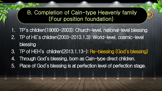## B. Completion of Cain-type Heavenly family (Four position foundation)

- 1. TP's children(19060-2003): Church-level, national-level blessing
- 2. TP of HE's children(2003-2013.1.3): World-level, cosmic-level blessing
- 3. TP of HEH's children(2013.1.13-): Re-blessing (God's blessing)
- 4. Through God's blessing, born as Cain-type direct children.
- 5. Place of God's blessing is at perfection level of perfection stage.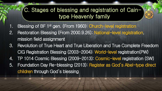- 1. Blessing of BF 1<sup>st</sup> gen. (From 1960): Church-level registration
- 2. Restoration Blessing (From 2000.9.26): National-level registration, mission field assignment
- 3. Revolution of True Heart and True Liberation and True Complete Freedom CIG Registration Blessing (2003-2004): World-level registration(PW) 4. TP 1014 Cosmic Blessing (2009-2013): Cosmic-level registration (SW) 5. Foundation Day Re-blessing (2013): Register as God's Abel-type direct children through God's blessing



## C. Stages of blessing and registration of Caintype Heavenly family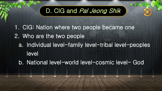## D. CIG and Pal Jeong Shik

1. CIG: Nation where two people became one 2. Who are the two people a. Individual level-family level-tribal level-peoples level b. National level-world level-cosmic level- God

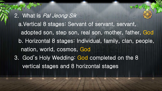2. What is Pal Jeong Sik a.Vertical 8 stages: Servant of servant, servant, adopted son, step son, real son, mother, father, God b. Horizontal 8 stages: Individual, family, clan, people, nation, world, cosmos, God 3. God's Holy Wedding: God completed on the 8 vertical stages and 8 horizontal stages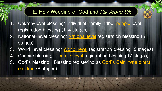## E. Holy Wedding of God and Pal Jeong Sik

- 1. Church-level blessing: Individual, family, tribe, people level registration blessing  $(1-4$  stages)
- 2. National-level blessing: National level registration blessing (5 stages)
- 3. World-level blessing: World-level registration blessing (6 stages)
- 4. Cosmic blessing: Cosmic-level registration blessing (7 stages)
- 5. God's blessing: Blessing registering as God's Cain-type direct children (8 stages)

I



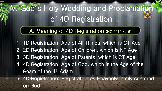## IV. God's Holy Wedding and Proclamation of 4D Registration

## A. Meaning of 4D Registration (HC 2012.4.16)

- 1. 1D Registration: Age of All Things, which is OT Age
- 2. 2D Registration: Age of Children, which is NT Age
- 3. 3D Registration: Age of Parents, which is CT Age
- 4. 4D Registration: Age of God, which is the Age of the Ream of the 4<sup>th</sup> Adam
- 5. 4D Registration: Registration as Heavenly family centered on God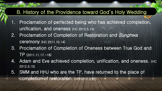- 1. Proclamation of perfected being who has achieved completion, unification, and oneness (HC 2010.5.15)
- 2. Proclamation of Completion of Restoration and Sunghwa ceremony (HC 2011.10.14)
- 3. Proclamation of Completion of Oneness between True God and TP (2011.11.17.-18)
- 4. Adam and Eve achieved completion, unification, and oneness. (HC 2012.3.15)
- 5. SMM and HHJ who are the TP, have returned to the place of completion of restoration. (HC 2012.3.22)

## B. History of the Providence toward God's Holy Wedding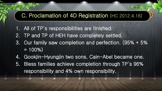## C. Proclamation of 4D Registration (HC 2012.4.16)

- 1. All of TP's responsibilities are finished.
- 2. TP and TP of HEH have completely settled.
- 3. Our family saw completion and perfection. (95% + 5%  $= 100\%)$
- 4. Gookjin-Hyungjin two sons, Cain-Abel became one.
- 5. Bless families achieve completion through TP's 96% responsibility and 4% own responsibility.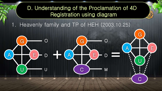## D. Understanding of the Proclamation of 4D Registration using diagram

O

D

U

G

A HITTE

U

D

 $+\alpha$   $\rightarrow$   $-\alpha$ 

M

G

A <del>) (</del> E

 $\mathbf C$ 

Heavenly family and TP of HEH (2003.10.25)

G

A

 $\bigcap$ 

C

E

 $\begin{array}{c} \bullet \\ \bullet \end{array}$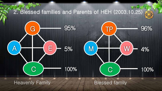

Heavenly Family **Bisk and Heavenly** Family **Blessed family** 

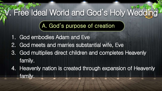# V. Free Ideal World and God's Holy Wedding

- 1. God embodies Adam and Eve
- 2. God meets and marries substantial wife, Eve
- 3. God multiplies direct children and completes Heavenly family.
- 4. Heavenly nation is created through expansion of Heavenly family.

## A. God's purpose of creation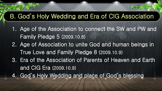1. Age of the Association to connect the SW and PW and Family Pledge 5 (2009.10.8) 2. Age of Association to unite God and human beings in True Love and Family Pledge 8 (2009.10.9) 3. Era of the Association of Parents of Heaven and Earth and CIG Era (2009.10.9) 4. God's Holy Wedding and place of God's blessing

## B. God's Holy Wedding and Era of CIG Association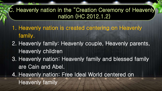- 1. Heavenly nation is created centering on Heavenly family.
- 2. Heavenly family: Heavenly couple, Heavenly parents, Heavenly children
- 3. Heavenly nation: Heavenly family and blessed family are Cain and Abel.
- 4. Heavenly nation: Free Ideal World centered on Heavenly family

C. Heavenly nation in the "Creation Ceremony of Heavenly nation (HC 2012.1.2)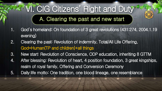## VI. CIG Citizens' Right and Duty A. Clearing the past and new start

- 1. God's homeland: On foundation of 3 great revolutions (431:274, 2004.1.19 evening)
- 2. Clearing the past: Revolution of indemnity, Total/All Life Offering, God=Human(TP and children)+all things
- realm of royal family, Offering and Conversion Ceremony
- 3. New start: Revolution of Conscience, ODP education, inheriting 8 GTTM 4. After blessing: Revolution of heart, 4 position foundation, 3 great kingships, 5. Daily life motto: One tradition, one blood lineage, one resemblance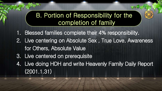- 1. Blessed families complete their 4% responsibility.
- 2. Live centering on Absolute Sex , True Love, Awareness for Others, Absolute Value
- 3. Live centered on prerequisite
- 4. Live doing HDH and write Heavenly Family Daily Report (2001.1.31)



## B. Portion of Responsibility for the completion of family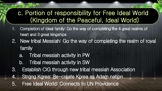## c. Portion of responsibility for Free Ideal World (Kingdom of the Peaceful, Ideal World)

- 1. Completion of ideal family: Go the way of completing the 4 great realms of heart and 3 great kingships
- 2. New tribal Messiah: Go the way of completing the realm of royal family
- a. Tribal messiah activity in PW b. Tribal messiah activity in SW 3. Establish CIG through new tribal messiah Association 4. Strong Korea: Re-create Korea as Adam nation 5. Free Ideal World: Connects to UN Providence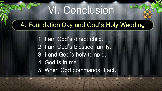# VI. Conclusion

A. Foundation Day and God's Holy Wedding

1. I am God's direct child. 2. I am God's blessed family. 3. I and God's holy temple. 4. God is in me. 5. When God commands, I act.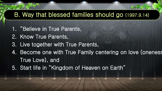- 1. "Believe in True Parents,
- 2. Know True Parents,
- 3. Live together with True Parents,
- 4. Become one with True Family centering on love (oneness True Love), and
- 5. Start life in "Kingdom of Heaven on Earth"

## B. Way that blessed families should go (1997.9.14)